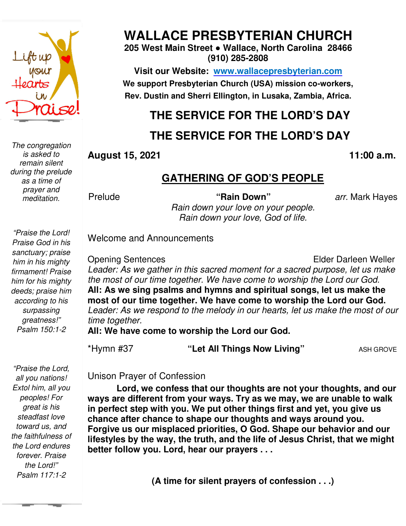

*The congregation is asked to remain silent during the prelude as a time of prayer and meditation.* 

**WALLACE PRESBYTERIAN CHURCH**

**205 West Main Street ● Wallace, North Carolina 28466 (910) 285-2808** 

**Visit our Website: www.wallacepresbyterian.com** We support Presbyterian Church (USA) mission co-workers, **Rev. Dustin and Sherri Ellington, in Lusaka, Zambia, Africa. Sherri Ellington,** 

# **THE SERVICE FOR THE LORD'S DAY**

## **THE SERVICE FOR THE LORD'S DAY**

#### **August 15, 2021**

#### **, 11:00 a.m**

#### **GATHERING OF GOD'S PEOPLE**

**Prelude** 

*Rain down your love on your people.* **"Rain Down"** *arr.* Mark Hayes

*Rain down your love, God of life.* 

*"Praise the Lord! Praise God in his sanctuary; praise him in his mighty firmament! Praise him for his mighty deeds; praise him according to his surpassing greatness!" Psalm 150:1-2* 

Opening Sentences Leader: As we gather in this sacred moment for a sacred purpose, let us make the most of our time together. We have come to worship the Lord our God. **All: As we sing psalms and hymns and spiritual songs, let us make the**  All: As we sing psalms and hymns and spiritual songs, let us make the<br>most of our time together. We have come to worship the Lord our God. Leader: As we respond to the melody in our hearts, let us make the most of our *time together.* Elder Darleen Weller 11:00 a.m.<br> **<u>GATHERING OF GOD'S PEOPLE</u>**<br>
<sup>11:00</sup> a.m.<br> **Follow 11:00** a.m.<br> **Follow 11:00** a.m.<br> **Follow 11:00** a.m.<br> **Follow 11:00** a.m.<br> **Follow 11:00** a.m.<br> **Follow 12:** A we gather in this sacred moment for a sacred

**All: We have come to worship the Lord our God.**

\*Hymn #37

"Let All Things Now Living"

ASH GROVE

 *forever. Praise "Praise the Lord, all you nations! Extol him, all you peoples! For great is his steadfast love toward us, and the faithfulness of the Lord endures the Lord!" Psalm 117:1-2* 

Unison Prayer of Confession Unison Prayer of

Welcome and Announcements and Announcements

**Lord, we confess that our thoughts are not your thoughts, and our**  Lord, we confess that our thoughts are not your thoughts, and our<br>ways are different from your ways. Try as we may, we are unable to walk **in perfect step with you. We put other things first and yet, you give us chance after chance to shape our thoughts and ways around you. Forgive us our misplaced priorities, O God. Shape our behavior and our**  Lord, we confess that our thoughts are not your thoughts, and our<br>ways are different from your ways. Try as we may, we are unable to walk<br>in perfect step with you. We put other things first and yet, you give us<br>chance afte **better follow you. Lord, hear our prayers . . .**

**(A time for silent prayers of confession . . .)**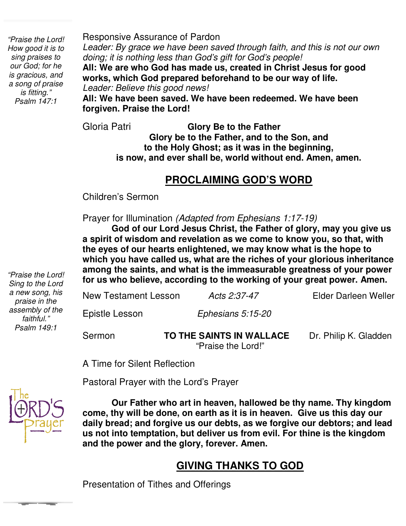*"Praise the Lord! How good it is to sing praises to our God; for he is gracious, and a song of praise is fitting." Psalm 147:1* 

Responsive Assurance of Pardon

*Leader: By grace we have been saved through faith, and this is not our own doing; it is nothing less than God's gift for God's people!* 

**All: We are who God has made us, created in Christ Jesus for good works, which God prepared beforehand to be our way of life.**  *Leader: Believe this good news!* 

**All: We have been saved. We have been redeemed. We have been forgiven. Praise the Lord!**

Gloria Patri **Glory Be to the Father Glory be to the Father, and to the Son, and to the Holy Ghost; as it was in the beginning, is now, and ever shall be, world without end. Amen, amen.** 

#### **PROCLAIMING GOD'S WORD**

Children's Sermon

 Prayer for Illumination *(Adapted from Ephesians 1:17-19)*

**God of our Lord Jesus Christ, the Father of glory, may you give us a spirit of wisdom and revelation as we come to know you, so that, with the eyes of our hearts enlightened, we may know what is the hope to which you have called us, what are the riches of your glorious inheritance among the saints, and what is the immeasurable greatness of your power for us who believe, according to the working of your great power. Amen.**

New Testament Lesson *Acts 2:37-47* Elder Darleen Weller Epistle Lesson *Ephesians 5:15-20*

Sermon **TO THE SAINTS IN WALLACE** Dr. Philip K. Gladden "Praise the Lord!"

A Time for Silent Reflection

Pastoral Prayer with the Lord's Prayer



**Our Father who art in heaven, hallowed be thy name. Thy kingdom come, thy will be done, on earth as it is in heaven. Give us this day our daily bread; and forgive us our debts, as we forgive our debtors; and lead us not into temptation, but deliver us from evil. For thine is the kingdom and the power and the glory, forever. Amen.** 

## **GIVING THANKS TO GOD**

Presentation of Tithes and Offerings

*"Praise the Lord! Sing to the Lord a new song, his praise in the assembly of the faithful." Psalm 149:1*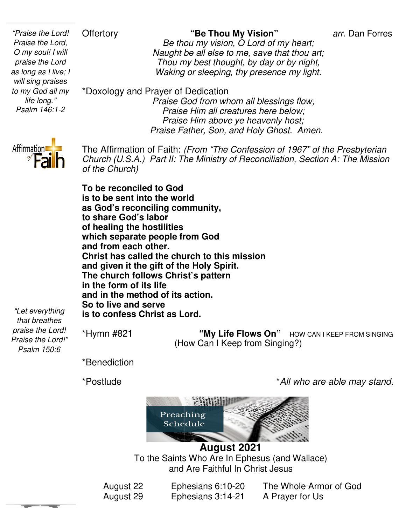#### **Offertory**

*"Praise the Lord! Praise the Lord, O my soul! I will praise the Lord as long as I live; I will sing praises to my God all my life long." Psalm 146:1-2*

"Be Thou My Vision"

arr. Dan Forres

*Be thou my vision, O Lord of my heart; Be thou my vision, O Lord of my heart;<br>Naught be all else to me, save that thou art; Thou my best thought, by day or by night, Waking or sleeping, thy presence my light.*

\*Doxology and Prayer of Dedication

 *Praise God from whom all blessings flow; Praise Him all creatures here below; Praise Praise Praise Him above ye heavenly host; Praise Father, Son, and Holy Ghost. Amen.* 



The Affirmation of Faith: *(From "The Confession of 1967" of the Presbyterian Church (U.S.A.) Part II: The Ministry of Reconciliation, Section A: The Mission II: From of 1967" Church Section of the Church)* 

**To be reconciled to God is to be sent into the world as God's reconciling community, to share God's labor of healing the hostilities which separate people from God and from each other. Christ has called the church to this mission** is to be sent into the world<br>as God's reconciling community,<br>to share God's labor<br>of healing the hostilities<br>which separate people from God<br>and from each other.<br>Christ has called the church to this mi<br>and given it the gift The church follows Christ's pattern<br>in the form of its life<br>and in the method of its action.<br>So to live and serve<br>is to confess Christ as Lord. **in the form of its life and in the method of its action. So to live and serve is to confess Christ as Lord**

*"Let everything that breathes praise the Lord! Praise the Lord!" Psalm 150:6* 

\*Hymn #821

(How (How Can I Keep from Singing?) "My Life Flows On" HOW CAN I KEEP FROM SINGING

\*Benediction

\*Postlude

\**All who are able may stand stand.*



To the Saints Who Are In Ephesus (and Wallace)<br>and Are Faithful In Christ Jesus<br>22 Ephesians 6:10-20 The Whole Armor of God and Are Faithful In Christ Jesus **August 2021** 

August 22 Ephesians 6:10 August 29 Ephesians 3:14 A Prayer for Us